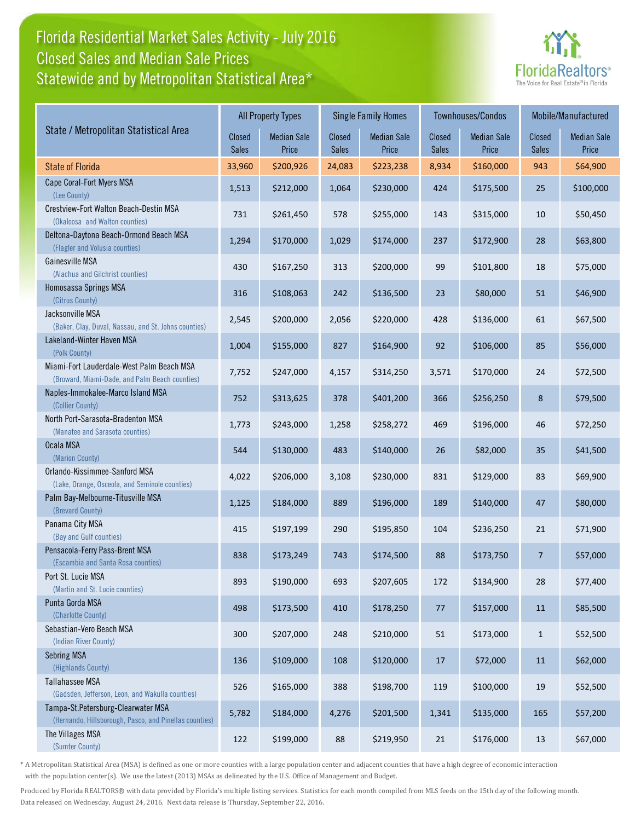## Florida Residential Market Sales Activity - July 2016 Statewide and by Metropolitan Statistical Area\* Closed Sales and Median Sale Prices



|                                                                                              |                        | <b>All Property Types</b>   |                        | <b>Single Family Homes</b>  |                        | Townhouses/Condos           | Mobile/Manufactured    |                             |
|----------------------------------------------------------------------------------------------|------------------------|-----------------------------|------------------------|-----------------------------|------------------------|-----------------------------|------------------------|-----------------------------|
| State / Metropolitan Statistical Area                                                        | Closed<br><b>Sales</b> | <b>Median Sale</b><br>Price | Closed<br><b>Sales</b> | <b>Median Sale</b><br>Price | Closed<br><b>Sales</b> | <b>Median Sale</b><br>Price | Closed<br><b>Sales</b> | <b>Median Sale</b><br>Price |
| <b>State of Florida</b>                                                                      | 33,960                 | \$200,926                   | 24,083                 | \$223,238                   | 8,934                  | \$160,000                   | 943                    | \$64,900                    |
| Cape Coral-Fort Myers MSA<br>(Lee County)                                                    | 1,513                  | \$212,000                   | 1,064                  | \$230,000                   | 424                    | \$175,500                   | 25                     | \$100,000                   |
| Crestview-Fort Walton Beach-Destin MSA<br>(Okaloosa and Walton counties)                     | 731                    | \$261,450                   | 578                    | \$255,000                   | 143                    | \$315,000                   | 10                     | \$50,450                    |
| Deltona-Daytona Beach-Ormond Beach MSA<br>(Flagler and Volusia counties)                     | 1,294                  | \$170,000                   | 1,029                  | \$174,000                   | 237                    | \$172,900                   | 28                     | \$63,800                    |
| Gainesville MSA<br>(Alachua and Gilchrist counties)                                          | 430                    | \$167,250                   | 313                    | \$200,000                   | 99                     | \$101,800                   | 18                     | \$75,000                    |
| Homosassa Springs MSA<br>(Citrus County)                                                     | 316                    | \$108,063                   | 242                    | \$136,500                   | 23                     | \$80,000                    | 51                     | \$46,900                    |
| Jacksonville MSA<br>(Baker, Clay, Duval, Nassau, and St. Johns counties)                     | 2,545                  | \$200,000                   | 2,056                  | \$220,000                   | 428                    | \$136,000                   | 61                     | \$67,500                    |
| Lakeland-Winter Haven MSA<br>(Polk County)                                                   | 1,004                  | \$155,000                   | 827                    | \$164,900                   | 92                     | \$106,000                   | 85                     | \$56,000                    |
| Miami-Fort Lauderdale-West Palm Beach MSA<br>(Broward, Miami-Dade, and Palm Beach counties)  | 7,752                  | \$247,000                   | 4,157                  | \$314,250                   | 3,571                  | \$170,000                   | 24                     | \$72,500                    |
| Naples-Immokalee-Marco Island MSA<br>(Collier County)                                        | 752                    | \$313,625                   | 378                    | \$401,200                   | 366                    | \$256,250                   | 8                      | \$79,500                    |
| North Port-Sarasota-Bradenton MSA<br>(Manatee and Sarasota counties)                         | 1,773                  | \$243,000                   | 1,258                  | \$258,272                   | 469                    | \$196,000                   | 46                     | \$72,250                    |
| Ocala MSA<br>(Marion County)                                                                 | 544                    | \$130,000                   | 483                    | \$140,000                   | 26                     | \$82,000                    | 35                     | \$41,500                    |
| Orlando-Kissimmee-Sanford MSA<br>(Lake, Orange, Osceola, and Seminole counties)              | 4,022                  | \$206,000                   | 3,108                  | \$230,000                   | 831                    | \$129,000                   | 83                     | \$69,900                    |
| Palm Bay-Melbourne-Titusville MSA<br>(Brevard County)                                        | 1,125                  | \$184,000                   | 889                    | \$196,000                   | 189                    | \$140,000                   | 47                     | \$80,000                    |
| Panama City MSA<br>(Bay and Gulf counties)                                                   | 415                    | \$197,199                   | 290                    | \$195,850                   | 104                    | \$236,250                   | 21                     | \$71,900                    |
| Pensacola-Ferry Pass-Brent MSA<br>(Escambia and Santa Rosa counties)                         | 838                    | \$173,249                   | 743                    | \$174,500                   | 88                     | \$173,750                   | $\overline{7}$         | \$57,000                    |
| Port St. Lucie MSA<br>(Martin and St. Lucie counties)                                        | 893                    | \$190,000                   | 693                    | \$207,605                   | 172                    | \$134,900                   | 28                     | \$77,400                    |
| Punta Gorda MSA<br>(Charlotte County)                                                        | 498                    | \$173,500                   | 410                    | \$178,250                   | 77                     | \$157,000                   | 11                     | \$85,500                    |
| Sebastian-Vero Beach MSA<br>(Indian River County)                                            | 300                    | \$207,000                   | 248                    | \$210,000                   | 51                     | \$173,000                   | $\mathbf{1}$           | \$52,500                    |
| Sebring MSA<br>(Highlands County)                                                            | 136                    | \$109,000                   | 108                    | \$120,000                   | 17                     | \$72,000                    | 11                     | \$62,000                    |
| Tallahassee MSA<br>(Gadsden, Jefferson, Leon, and Wakulla counties)                          | 526                    | \$165,000                   | 388                    | \$198,700                   | 119                    | \$100,000                   | 19                     | \$52,500                    |
| Tampa-St.Petersburg-Clearwater MSA<br>(Hernando, Hillsborough, Pasco, and Pinellas counties) | 5,782                  | \$184,000                   | 4,276                  | \$201,500                   | 1,341                  | \$135,000                   | 165                    | \$57,200                    |
| The Villages MSA<br>(Sumter County)                                                          | 122                    | \$199,000                   | 88                     | \$219,950                   | 21                     | \$176,000                   | 13                     | \$67,000                    |

\* A Metropolitan Statistical Area (MSA) is defined as one or more counties with a large population center and adjacent counties that have a high degree of economic interaction with the population center(s). We use the latest (2013) MSAs as delineated by the U.S. Office of Management and Budget.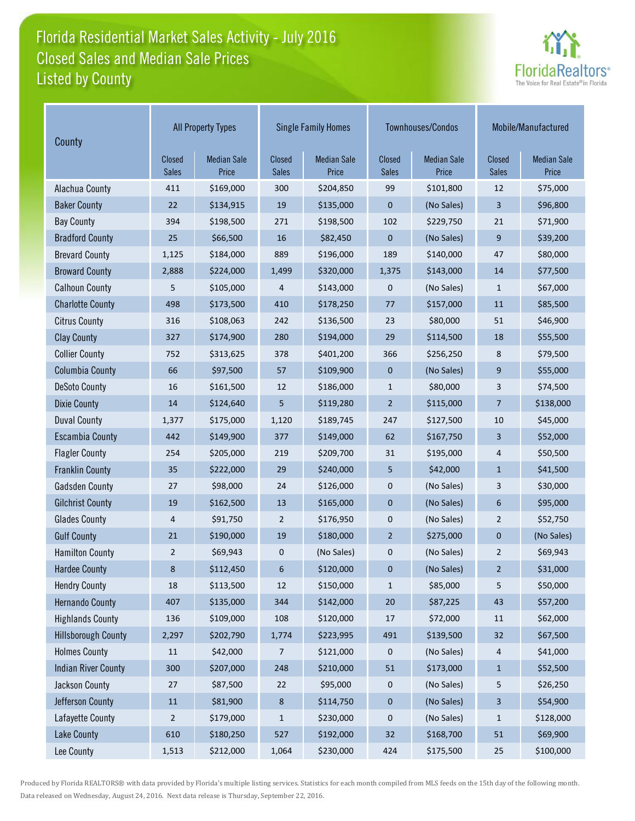# Florida Residential Market Sales Activity - July 2016 Listed by County Closed Sales and Median Sale Prices



| County                     | <b>All Property Types</b> |                             |                        | <b>Single Family Homes</b>  |                        | Townhouses/Condos           | Mobile/Manufactured |                             |
|----------------------------|---------------------------|-----------------------------|------------------------|-----------------------------|------------------------|-----------------------------|---------------------|-----------------------------|
|                            | Closed<br><b>Sales</b>    | <b>Median Sale</b><br>Price | Closed<br><b>Sales</b> | <b>Median Sale</b><br>Price | Closed<br><b>Sales</b> | <b>Median Sale</b><br>Price | Closed<br>Sales     | <b>Median Sale</b><br>Price |
| Alachua County             | 411                       | \$169,000                   | 300                    | \$204,850                   | 99                     | \$101,800                   | 12                  | \$75,000                    |
| <b>Baker County</b>        | 22                        | \$134,915                   | 19                     | \$135,000                   | 0                      | (No Sales)                  | 3                   | \$96,800                    |
| <b>Bay County</b>          | 394                       | \$198,500                   | 271                    | \$198,500                   | 102                    | \$229,750                   | 21                  | \$71,900                    |
| <b>Bradford County</b>     | $25\,$                    | \$66,500                    | 16                     | \$82,450                    | $\boldsymbol{0}$       | (No Sales)                  | 9                   | \$39,200                    |
| <b>Brevard County</b>      | 1,125                     | \$184,000                   | 889                    | \$196,000                   | 189                    | \$140,000                   | 47                  | \$80,000                    |
| <b>Broward County</b>      | 2,888                     | \$224,000                   | 1,499                  | \$320,000                   | 1,375                  | \$143,000                   | 14                  | \$77,500                    |
| <b>Calhoun County</b>      | 5                         | \$105,000                   | 4                      | \$143,000                   | 0                      | (No Sales)                  | $\mathbf{1}$        | \$67,000                    |
| <b>Charlotte County</b>    | 498                       | \$173,500                   | 410                    | \$178,250                   | 77                     | \$157,000                   | 11                  | \$85,500                    |
| <b>Citrus County</b>       | 316                       | \$108,063                   | 242                    | \$136,500                   | 23                     | \$80,000                    | 51                  | \$46,900                    |
| <b>Clay County</b>         | 327                       | \$174,900                   | 280                    | \$194,000                   | 29                     | \$114,500                   | 18                  | \$55,500                    |
| <b>Collier County</b>      | 752                       | \$313,625                   | 378                    | \$401,200                   | 366                    | \$256,250                   | 8                   | \$79,500                    |
| <b>Columbia County</b>     | 66                        | \$97,500                    | 57                     | \$109,900                   | $\mathbf{0}$           | (No Sales)                  | 9                   | \$55,000                    |
| <b>DeSoto County</b>       | 16                        | \$161,500                   | 12                     | \$186,000                   | $\mathbf{1}$           | \$80,000                    | 3                   | \$74,500                    |
| <b>Dixie County</b>        | 14                        | \$124,640                   | 5                      | \$119,280                   | $\overline{2}$         | \$115,000                   | 7                   | \$138,000                   |
| <b>Duval County</b>        | 1,377                     | \$175,000                   | 1,120                  | \$189,745                   | 247                    | \$127,500                   | 10                  | \$45,000                    |
| <b>Escambia County</b>     | 442                       | \$149,900                   | 377                    | \$149,000                   | 62                     | \$167,750                   | 3                   | \$52,000                    |
| <b>Flagler County</b>      | 254                       | \$205,000                   | 219                    | \$209,700                   | 31                     | \$195,000                   | 4                   | \$50,500                    |
| <b>Franklin County</b>     | 35                        | \$222,000                   | 29                     | \$240,000                   | 5                      | \$42,000                    | $\mathbf{1}$        | \$41,500                    |
| <b>Gadsden County</b>      | 27                        | \$98,000                    | 24                     | \$126,000                   | 0                      | (No Sales)                  | 3                   | \$30,000                    |
| <b>Gilchrist County</b>    | 19                        | \$162,500                   | 13                     | \$165,000                   | 0                      | (No Sales)                  | 6                   | \$95,000                    |
| <b>Glades County</b>       | 4                         | \$91,750                    | $\overline{2}$         | \$176,950                   | 0                      | (No Sales)                  | $\overline{2}$      | \$52,750                    |
| <b>Gulf County</b>         | 21                        | \$190,000                   | 19                     | \$180,000                   | $\overline{2}$         | \$275,000                   | $\pmb{0}$           | (No Sales)                  |
| <b>Hamilton County</b>     | 2                         | \$69,943                    | 0                      | (No Sales)                  | 0                      | (No Sales)                  | $\overline{2}$      | \$69,943                    |
| <b>Hardee County</b>       | 8                         | \$112,450                   | 6                      | \$120,000                   | $\mathbf 0$            | (No Sales)                  | $\overline{2}$      | \$31,000                    |
| <b>Hendry County</b>       | 18                        | \$113,500                   | 12                     | \$150,000                   | $\mathbf{1}$           | \$85,000                    | 5                   | \$50,000                    |
| <b>Hernando County</b>     | 407                       | \$135,000                   | 344                    | \$142,000                   | 20                     | \$87,225                    | 43                  | \$57,200                    |
| <b>Highlands County</b>    | 136                       | \$109,000                   | 108                    | \$120,000                   | 17                     | \$72,000                    | 11                  | \$62,000                    |
| <b>Hillsborough County</b> | 2,297                     | \$202,790                   | 1,774                  | \$223,995                   | 491                    | \$139,500                   | 32                  | \$67,500                    |
| <b>Holmes County</b>       | 11                        | \$42,000                    | 7                      | \$121,000                   | 0                      | (No Sales)                  | 4                   | \$41,000                    |
| <b>Indian River County</b> | 300                       | \$207,000                   | 248                    | \$210,000                   | 51                     | \$173,000                   | $\mathbf{1}$        | \$52,500                    |
| Jackson County             | $27\,$                    | \$87,500                    | 22                     | \$95,000                    | 0                      | (No Sales)                  | 5                   | \$26,250                    |
| Jefferson County           | $11\,$                    | \$81,900                    | 8                      | \$114,750                   | 0                      | (No Sales)                  | 3                   | \$54,900                    |
| Lafayette County           | $\overline{2}$            | \$179,000                   | $\mathbf{1}$           | \$230,000                   | 0                      | (No Sales)                  | $\mathbf{1}$        | \$128,000                   |
| Lake County                | 610                       | \$180,250                   | 527                    | \$192,000                   | 32                     | \$168,700                   | 51                  | \$69,900                    |
| Lee County                 | 1,513                     | \$212,000                   | 1,064                  | \$230,000                   | 424                    | \$175,500                   | 25                  | \$100,000                   |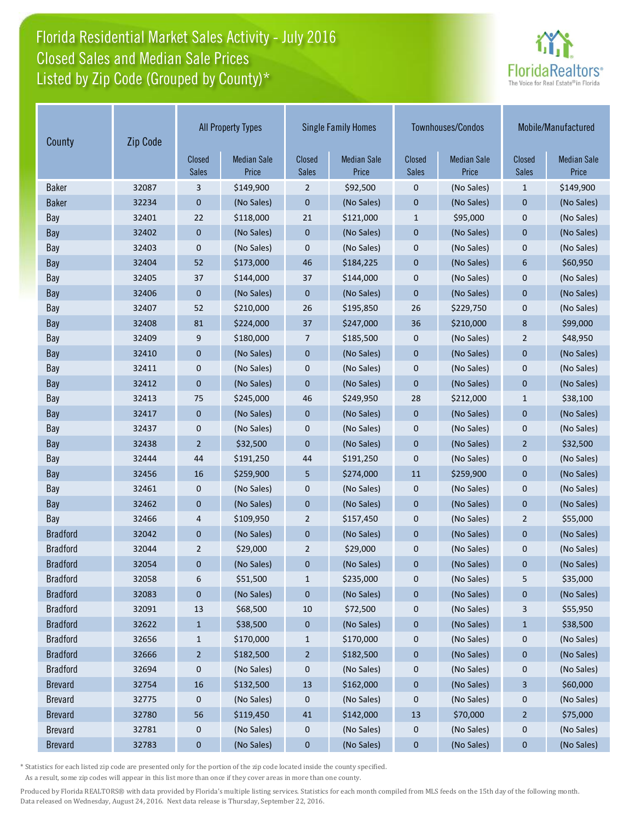## Florida Residential Market Sales Activity - July 2016 Listed by Zip Code (Grouped by County)\* Closed Sales and Median Sale Prices



| Zip Code<br>County |       | <b>All Property Types</b> |                             | <b>Single Family Homes</b> |                             |                        | Townhouses/Condos           | Mobile/Manufactured    |                             |
|--------------------|-------|---------------------------|-----------------------------|----------------------------|-----------------------------|------------------------|-----------------------------|------------------------|-----------------------------|
|                    |       | Closed<br><b>Sales</b>    | <b>Median Sale</b><br>Price | Closed<br>Sales            | <b>Median Sale</b><br>Price | Closed<br><b>Sales</b> | <b>Median Sale</b><br>Price | Closed<br><b>Sales</b> | <b>Median Sale</b><br>Price |
| <b>Baker</b>       | 32087 | 3                         | \$149,900                   | $\overline{2}$             | \$92,500                    | $\mathbf 0$            | (No Sales)                  | $\mathbf{1}$           | \$149,900                   |
| <b>Baker</b>       | 32234 | $\mathbf 0$               | (No Sales)                  | $\mathbf{0}$               | (No Sales)                  | $\mathbf{0}$           | (No Sales)                  | $\mathbf{0}$           | (No Sales)                  |
| Bay                | 32401 | 22                        | \$118,000                   | 21                         | \$121,000                   | $\mathbf{1}$           | \$95,000                    | $\mathbf{0}$           | (No Sales)                  |
| Bay                | 32402 | $\mathbf{0}$              | (No Sales)                  | $\mathbf{0}$               | (No Sales)                  | $\mathbf{0}$           | (No Sales)                  | $\mathbf{0}$           | (No Sales)                  |
| Bay                | 32403 | $\mathbf 0$               | (No Sales)                  | 0                          | (No Sales)                  | $\mathbf 0$            | (No Sales)                  | $\mathbf 0$            | (No Sales)                  |
| Bay                | 32404 | 52                        | \$173,000                   | 46                         | \$184,225                   | $\mathbf{0}$           | (No Sales)                  | 6                      | \$60,950                    |
| Bay                | 32405 | 37                        | \$144,000                   | 37                         | \$144,000                   | $\mathbf 0$            | (No Sales)                  | $\mathbf 0$            | (No Sales)                  |
| Bay                | 32406 | $\mathbf{0}$              | (No Sales)                  | $\mathbf{0}$               | (No Sales)                  | $\mathbf{0}$           | (No Sales)                  | $\mathbf{0}$           | (No Sales)                  |
| Bay                | 32407 | 52                        | \$210,000                   | 26                         | \$195,850                   | 26                     | \$229,750                   | $\mathbf 0$            | (No Sales)                  |
| Bay                | 32408 | 81                        | \$224,000                   | 37                         | \$247,000                   | 36                     | \$210,000                   | 8                      | \$99,000                    |
| Bay                | 32409 | 9                         | \$180,000                   | 7                          | \$185,500                   | $\mathbf 0$            | (No Sales)                  | $\overline{2}$         | \$48,950                    |
| Bay                | 32410 | $\pmb{0}$                 | (No Sales)                  | 0                          | (No Sales)                  | $\mathbf{0}$           | (No Sales)                  | $\mathbf{0}$           | (No Sales)                  |
| Bay                | 32411 | 0                         | (No Sales)                  | 0                          | (No Sales)                  | $\mathbf 0$            | (No Sales)                  | $\mathbf 0$            | (No Sales)                  |
| Bay                | 32412 | $\pmb{0}$                 | (No Sales)                  | $\mathbf{0}$               | (No Sales)                  | $\mathbf 0$            | (No Sales)                  | $\mathbf{0}$           | (No Sales)                  |
| Bay                | 32413 | 75                        | \$245,000                   | 46                         | \$249,950                   | 28                     | \$212,000                   | $\mathbf{1}$           | \$38,100                    |
| Bay                | 32417 | $\mathbf{0}$              | (No Sales)                  | $\mathbf{0}$               | (No Sales)                  | $\mathbf{0}$           | (No Sales)                  | $\mathbf{0}$           | (No Sales)                  |
| Bay                | 32437 | $\mathbf 0$               | (No Sales)                  | 0                          | (No Sales)                  | 0                      | (No Sales)                  | $\mathbf 0$            | (No Sales)                  |
| Bay                | 32438 | $\overline{2}$            | \$32,500                    | $\mathbf 0$                | (No Sales)                  | $\mathbf{0}$           | (No Sales)                  | $\overline{2}$         | \$32,500                    |
| Bay                | 32444 | 44                        | \$191,250                   | 44                         | \$191,250                   | $\mathbf 0$            | (No Sales)                  | $\mathbf 0$            | (No Sales)                  |
| Bay                | 32456 | 16                        | \$259,900                   | 5                          | \$274,000                   | $11\,$                 | \$259,900                   | $\mathbf{0}$           | (No Sales)                  |
| Bay                | 32461 | $\mathbf 0$               | (No Sales)                  | 0                          | (No Sales)                  | $\mathbf 0$            | (No Sales)                  | $\mathbf 0$            | (No Sales)                  |
| Bay                | 32462 | $\bf{0}$                  | (No Sales)                  | 0                          | (No Sales)                  | $\mathbf{0}$           | (No Sales)                  | $\mathbf{0}$           | (No Sales)                  |
| Bay                | 32466 | 4                         | \$109,950                   | 2                          | \$157,450                   | $\mathbf 0$            | (No Sales)                  | $\overline{2}$         | \$55,000                    |
| <b>Bradford</b>    | 32042 | $\pmb{0}$                 | (No Sales)                  | 0                          | (No Sales)                  | $\mathbf{0}$           | (No Sales)                  | $\mathbf{0}$           | (No Sales)                  |
| <b>Bradford</b>    | 32044 | $\overline{2}$            | \$29,000                    | $\overline{2}$             | \$29,000                    | 0                      | (No Sales)                  | $\mathbf 0$            | (No Sales)                  |
| <b>Bradford</b>    | 32054 | 0                         | (No Sales)                  | 0                          | (No Sales)                  | $\mathbf 0$            | (No Sales)                  | $\mathbf{0}$           | (No Sales)                  |
| <b>Bradford</b>    | 32058 | 6                         | \$51,500                    | $\mathbf{1}$               | \$235,000                   | $\pmb{0}$              | (No Sales)                  | $\mathsf S$            | \$35,000                    |
| <b>Bradford</b>    | 32083 | $\pmb{0}$                 | (No Sales)                  | 0                          | (No Sales)                  | $\pmb{0}$              | (No Sales)                  | $\pmb{0}$              | (No Sales)                  |
| <b>Bradford</b>    | 32091 | 13                        | \$68,500                    | $10\,$                     | \$72,500                    | 0                      | (No Sales)                  | 3                      | \$55,950                    |
| <b>Bradford</b>    | 32622 | $\mathbf{1}$              | \$38,500                    | 0                          | (No Sales)                  | $\pmb{0}$              | (No Sales)                  | $\mathbf{1}$           | \$38,500                    |
| <b>Bradford</b>    | 32656 | $\mathbf{1}$              | \$170,000                   | $\mathbf{1}$               | \$170,000                   | 0                      | (No Sales)                  | 0                      | (No Sales)                  |
| <b>Bradford</b>    | 32666 | $\overline{2}$            | \$182,500                   | $\overline{a}$             | \$182,500                   | $\pmb{0}$              | (No Sales)                  | $\pmb{0}$              | (No Sales)                  |
| <b>Bradford</b>    | 32694 | $\pmb{0}$                 | (No Sales)                  | 0                          | (No Sales)                  | 0                      | (No Sales)                  | 0                      | (No Sales)                  |
| <b>Brevard</b>     | 32754 | 16                        | \$132,500                   | 13                         | \$162,000                   | $\bf{0}$               | (No Sales)                  | 3                      | \$60,000                    |
| <b>Brevard</b>     | 32775 | 0                         | (No Sales)                  | 0                          | (No Sales)                  | 0                      | (No Sales)                  | $\boldsymbol{0}$       | (No Sales)                  |
| <b>Brevard</b>     | 32780 | 56                        | \$119,450                   | 41                         | \$142,000                   | 13                     | \$70,000                    | $\overline{2}$         | \$75,000                    |
| <b>Brevard</b>     | 32781 | $\boldsymbol{0}$          | (No Sales)                  | 0                          | (No Sales)                  | 0                      | (No Sales)                  | $\boldsymbol{0}$       | (No Sales)                  |
| <b>Brevard</b>     | 32783 | $\bf{0}$                  | (No Sales)                  | 0                          | (No Sales)                  | 0                      | (No Sales)                  | $\bf{0}$               | (No Sales)                  |

\* Statistics for each listed zip code are presented only for the portion of the zip code located inside the county specified.

As a result, some zip codes will appear in this list more than once if they cover areas in more than one county.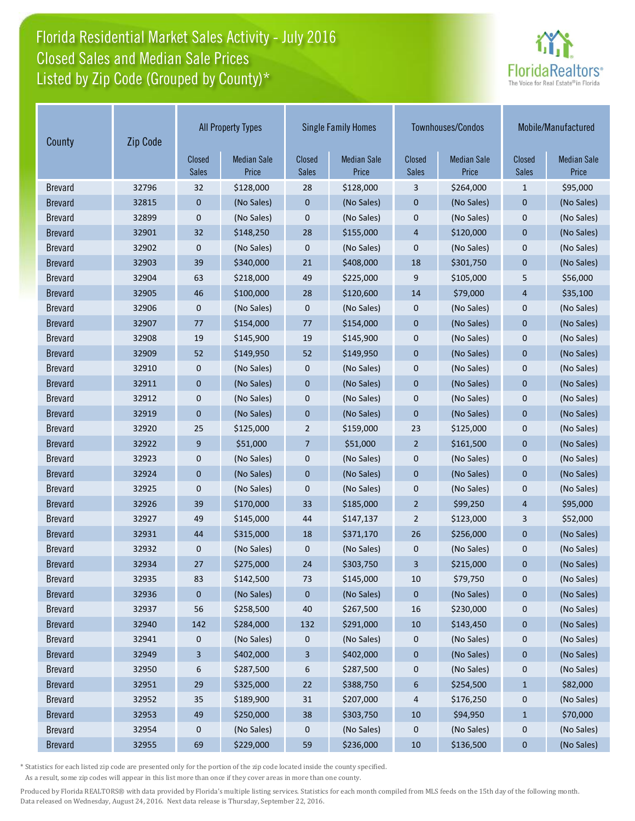## Florida Residential Market Sales Activity - July 2016 Listed by Zip Code (Grouped by County)\* Closed Sales and Median Sale Prices



| County         | Zip Code |                        | <b>All Property Types</b>   |                        | <b>Single Family Homes</b>  |                        | Townhouses/Condos           | Mobile/Manufactured    |                             |
|----------------|----------|------------------------|-----------------------------|------------------------|-----------------------------|------------------------|-----------------------------|------------------------|-----------------------------|
|                |          | Closed<br><b>Sales</b> | <b>Median Sale</b><br>Price | Closed<br><b>Sales</b> | <b>Median Sale</b><br>Price | Closed<br><b>Sales</b> | <b>Median Sale</b><br>Price | Closed<br><b>Sales</b> | <b>Median Sale</b><br>Price |
| <b>Brevard</b> | 32796    | 32                     | \$128,000                   | 28                     | \$128,000                   | 3                      | \$264,000                   | $\mathbf{1}$           | \$95,000                    |
| <b>Brevard</b> | 32815    | $\mathbf{0}$           | (No Sales)                  | $\mathbf{0}$           | (No Sales)                  | $\mathbf 0$            | (No Sales)                  | $\mathbf{0}$           | (No Sales)                  |
| <b>Brevard</b> | 32899    | $\mathbf 0$            | (No Sales)                  | $\mathbf{0}$           | (No Sales)                  | $\mathbf 0$            | (No Sales)                  | $\mathbf 0$            | (No Sales)                  |
| <b>Brevard</b> | 32901    | 32                     | \$148,250                   | 28                     | \$155,000                   | $\overline{4}$         | \$120,000                   | $\mathbf{0}$           | (No Sales)                  |
| <b>Brevard</b> | 32902    | $\mathbf 0$            | (No Sales)                  | $\mathbf 0$            | (No Sales)                  | $\boldsymbol{0}$       | (No Sales)                  | $\mathbf 0$            | (No Sales)                  |
| <b>Brevard</b> | 32903    | 39                     | \$340,000                   | 21                     | \$408,000                   | 18                     | \$301,750                   | $\mathbf{0}$           | (No Sales)                  |
| <b>Brevard</b> | 32904    | 63                     | \$218,000                   | 49                     | \$225,000                   | 9                      | \$105,000                   | 5                      | \$56,000                    |
| <b>Brevard</b> | 32905    | 46                     | \$100,000                   | 28                     | \$120,600                   | 14                     | \$79,000                    | $\overline{4}$         | \$35,100                    |
| <b>Brevard</b> | 32906    | $\mathbf 0$            | (No Sales)                  | 0                      | (No Sales)                  | 0                      | (No Sales)                  | $\pmb{0}$              | (No Sales)                  |
| <b>Brevard</b> | 32907    | 77                     | \$154,000                   | 77                     | \$154,000                   | $\mathbf 0$            | (No Sales)                  | $\mathbf 0$            | (No Sales)                  |
| <b>Brevard</b> | 32908    | 19                     | \$145,900                   | 19                     | \$145,900                   | $\mathbf 0$            | (No Sales)                  | $\mathbf 0$            | (No Sales)                  |
| <b>Brevard</b> | 32909    | 52                     | \$149,950                   | 52                     | \$149,950                   | $\mathbf 0$            | (No Sales)                  | $\mathbf 0$            | (No Sales)                  |
| <b>Brevard</b> | 32910    | $\mathbf 0$            | (No Sales)                  | 0                      | (No Sales)                  | $\boldsymbol{0}$       | (No Sales)                  | $\mathbf 0$            | (No Sales)                  |
| <b>Brevard</b> | 32911    | $\mathbf 0$            | (No Sales)                  | $\mathbf{0}$           | (No Sales)                  | $\mathbf 0$            | (No Sales)                  | $\mathbf{0}$           | (No Sales)                  |
| <b>Brevard</b> | 32912    | $\mathbf 0$            | (No Sales)                  | $\mathbf{0}$           | (No Sales)                  | $\mathbf 0$            | (No Sales)                  | $\mathbf 0$            | (No Sales)                  |
| <b>Brevard</b> | 32919    | $\mathbf{0}$           | (No Sales)                  | $\mathbf{0}$           | (No Sales)                  | $\overline{0}$         | (No Sales)                  | $\mathbf{0}$           | (No Sales)                  |
| <b>Brevard</b> | 32920    | 25                     | \$125,000                   | 2                      | \$159,000                   | 23                     | \$125,000                   | $\mathbf 0$            | (No Sales)                  |
| <b>Brevard</b> | 32922    | 9                      | \$51,000                    | 7                      | \$51,000                    | $\overline{2}$         | \$161,500                   | $\mathbf{0}$           | (No Sales)                  |
| <b>Brevard</b> | 32923    | 0                      | (No Sales)                  | 0                      | (No Sales)                  | $\boldsymbol{0}$       | (No Sales)                  | $\mathbf 0$            | (No Sales)                  |
| <b>Brevard</b> | 32924    | $\mathbf 0$            | (No Sales)                  | $\mathbf{0}$           | (No Sales)                  | $\mathbf{0}$           | (No Sales)                  | $\mathbf{0}$           | (No Sales)                  |
| <b>Brevard</b> | 32925    | $\mathbf 0$            | (No Sales)                  | $\mathbf{0}$           | (No Sales)                  | $\boldsymbol{0}$       | (No Sales)                  | $\mathbf 0$            | (No Sales)                  |
| <b>Brevard</b> | 32926    | 39                     | \$170,000                   | 33                     | \$185,000                   | $\overline{2}$         | \$99,250                    | $\overline{4}$         | \$95,000                    |
| <b>Brevard</b> | 32927    | 49                     | \$145,000                   | 44                     | \$147,137                   | $\overline{2}$         | \$123,000                   | 3                      | \$52,000                    |
| <b>Brevard</b> | 32931    | 44                     | \$315,000                   | 18                     | \$371,170                   | 26                     | \$256,000                   | $\mathbf 0$            | (No Sales)                  |
| <b>Brevard</b> | 32932    | $\mathbf 0$            | (No Sales)                  | $\mathbf{0}$           | (No Sales)                  | $\boldsymbol{0}$       | (No Sales)                  | $\mathbf 0$            | (No Sales)                  |
| <b>Brevard</b> | 32934    | 27                     | \$275,000                   | 24                     | \$303,750                   | 3                      | \$215,000                   | $\mathbf{0}$           | (No Sales)                  |
| <b>Brevard</b> | 32935    | 83                     | \$142,500                   | 73                     | \$145,000                   | 10                     | \$79,750                    | $\pmb{0}$              | (No Sales)                  |
| <b>Brevard</b> | 32936    | $\mathbf{0}$           | (No Sales)                  | $\pmb{0}$              | (No Sales)                  | $\pmb{0}$              | (No Sales)                  | $\pmb{0}$              | (No Sales)                  |
| <b>Brevard</b> | 32937    | 56                     | \$258,500                   | 40                     | \$267,500                   | 16                     | \$230,000                   | 0                      | (No Sales)                  |
| <b>Brevard</b> | 32940    | 142                    | \$284,000                   | 132                    | \$291,000                   | 10                     | \$143,450                   | $\pmb{0}$              | (No Sales)                  |
| <b>Brevard</b> | 32941    | $\boldsymbol{0}$       | (No Sales)                  | 0                      | (No Sales)                  | 0                      | (No Sales)                  | 0                      | (No Sales)                  |
| <b>Brevard</b> | 32949    | 3                      | \$402,000                   | 3                      | \$402,000                   | $\pmb{0}$              | (No Sales)                  | $\bf{0}$               | (No Sales)                  |
| <b>Brevard</b> | 32950    | 6                      | \$287,500                   | 6                      | \$287,500                   | 0                      | (No Sales)                  | 0                      | (No Sales)                  |
| <b>Brevard</b> | 32951    | 29                     | \$325,000                   | 22                     | \$388,750                   | 6                      | \$254,500                   | $\mathbf{1}$           | \$82,000                    |
| <b>Brevard</b> | 32952    | 35                     | \$189,900                   | 31                     | \$207,000                   | 4                      | \$176,250                   | $\boldsymbol{0}$       | (No Sales)                  |
| <b>Brevard</b> | 32953    | 49                     | \$250,000                   | 38                     | \$303,750                   | 10                     | \$94,950                    | $\mathbf{1}$           | \$70,000                    |
| <b>Brevard</b> | 32954    | $\boldsymbol{0}$       | (No Sales)                  | 0                      | (No Sales)                  | 0                      | (No Sales)                  | $\boldsymbol{0}$       | (No Sales)                  |
| <b>Brevard</b> | 32955    | 69                     | \$229,000                   | 59                     | \$236,000                   | 10                     | \$136,500                   | $\bf{0}$               | (No Sales)                  |

\* Statistics for each listed zip code are presented only for the portion of the zip code located inside the county specified.

As a result, some zip codes will appear in this list more than once if they cover areas in more than one county.